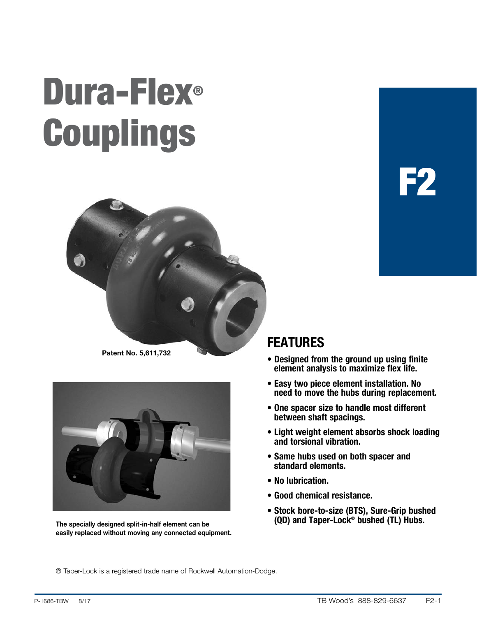# Dura-Flex® Couplings





The specially designed split-in-half element can be easily replaced without moving any connected equipment.

### FEATURES

• Designed from the ground up using finite element analysis to maximize flex life.

 $\mathbf{r}$ 

- Easy two piece element installation. No need to move the hubs during replacement.
- One spacer size to handle most different between shaft spacings.
- Light weight element absorbs shock loading and torsional vibration.
- Same hubs used on both spacer and standard elements.
- No lubrication.
- Good chemical resistance.
- Stock bore-to-size (BTS), Sure-Grip bushed (QD) and Taper-Lock® bushed (TL) Hubs.

® Taper-Lock is a registered trade name of Rockwell Automation-Dodge.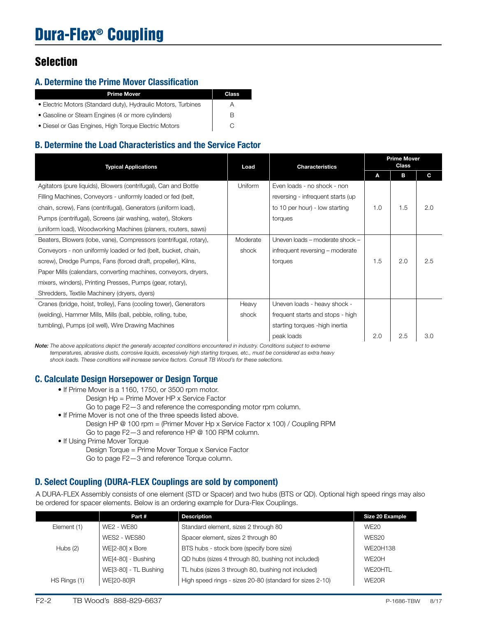# Dura-Flex® Coupling

### **Selection**

### A. Determine the Prime Mover Classification

| <b>Prime Mover</b>                                            | <b>Class</b> |
|---------------------------------------------------------------|--------------|
| • Electric Motors (Standard duty), Hydraulic Motors, Turbines | А            |
| • Gasoline or Steam Engines (4 or more cylinders)             | В            |
| • Diesel or Gas Engines, High Torque Electric Motors          |              |

### B. Determine the Load Characteristics and the Service Factor

| <b>Typical Applications</b>                                       | Load     | <b>Characteristics</b>            |     | <b>Prime Mover</b><br><b>Class</b> |     |
|-------------------------------------------------------------------|----------|-----------------------------------|-----|------------------------------------|-----|
|                                                                   |          |                                   | A   | в                                  | C   |
| Agitators (pure liquids), Blowers (centrifugal), Can and Bottle   | Uniform  | Even loads - no shock - non       |     |                                    |     |
| Filling Machines, Conveyors - uniformly loaded or fed (belt,      |          | reversing - infrequent starts (up |     |                                    |     |
| chain, screw), Fans (centrifugal), Generators (uniform load),     |          | to 10 per hour) - low starting    | 1.0 | 1.5                                | 2.0 |
| Pumps (centrifugal), Screens (air washing, water), Stokers        |          | torques                           |     |                                    |     |
| (uniform load), Woodworking Machines (planers, routers, saws)     |          |                                   |     |                                    |     |
| Beaters, Blowers (lobe, vane), Compressors (centrifugal, rotary), | Moderate | Uneven loads - moderate shock -   |     |                                    |     |
| Conveyors - non uniformly loaded or fed (belt, bucket, chain,     | shock    | infrequent reversing - moderate   |     |                                    |     |
| screw), Dredge Pumps, Fans (forced draft, propeller), Kilns,      |          | torques                           | 1.5 | 2.0                                | 2.5 |
| Paper Mills (calendars, converting machines, conveyors, dryers,   |          |                                   |     |                                    |     |
| mixers, winders), Printing Presses, Pumps (gear, rotary),         |          |                                   |     |                                    |     |
| Shredders, Textile Machinery (dryers, dyers)                      |          |                                   |     |                                    |     |
| Cranes (bridge, hoist, trolley), Fans (cooling tower), Generators | Heavy    | Uneven loads - heavy shock -      |     |                                    |     |
| (welding), Hammer Mills, Mills (ball, pebble, rolling, tube,      | shock    | frequent starts and stops - high  |     |                                    |     |
| tumbling), Pumps (oil well), Wire Drawing Machines                |          | starting torques - high inertia   |     |                                    |     |
|                                                                   |          | peak loads                        | 2.0 | 2.5                                | 3.0 |

*Note: The above applications depict the generally accepted conditions encountered in industry. Conditions subject to extreme temperatures, abrasive dusts, corrosive liquids, excessively high starting torques, etc., must be considered as extra heavy shock loads. These conditions will increase service factors. Consult TB Wood's for these selections.*

### C. Calculate Design Horsepower or Design Torque

- If Prime Mover is a 1160, 1750, or 3500 rpm motor.
	- Design Hp = Prime Mover HP x Service Factor
		- Go to page F2—3 and reference the corresponding motor rpm column.
- If Prime Mover is not one of the three speeds listed above. Design HP @ 100 rpm = (Primer Mover Hp x Service Factor x 100) / Coupling RPM Go to page F2—3 and reference HP @ 100 RPM column.
- If Using Prime Mover Torque
	- Design Torque = Prime Mover Torque x Service Factor
	- Go to page F2—3 and reference Torque column.

### D. Select Coupling (DURA-FLEX Couplings are sold by component)

A DURA-FLEX Assembly consists of one element (STD or Spacer) and two hubs (BTS or QD). Optional high speed rings may also be ordered for spacer elements. Below is an ordering example for Dura-Flex Couplings.

|              | Part#                  | <b>Description</b>                                       | Size 20 Example  |
|--------------|------------------------|----------------------------------------------------------|------------------|
| Element (1)  | WE2 - WE80             | Standard element, sizes 2 through 80                     | WE <sub>20</sub> |
|              | WES2 - WES80           | Spacer element, sizes 2 through 80                       | WES20            |
| Hubs $(2)$   | $WE[2-80] \times Bore$ | BTS hubs - stock bore (specify bore size)                | WE20H138         |
|              | WE[4-80] - Bushing     | QD hubs (sizes 4 through 80, bushing not included)       | WE20H            |
|              | WE[3-80] - TL Bushing  | TL hubs (sizes 3 through 80, bushing not included)       | WE20HTL          |
| HS Rings (1) | WE[20-80]R             | High speed rings - sizes 20-80 (standard for sizes 2-10) | WE20R            |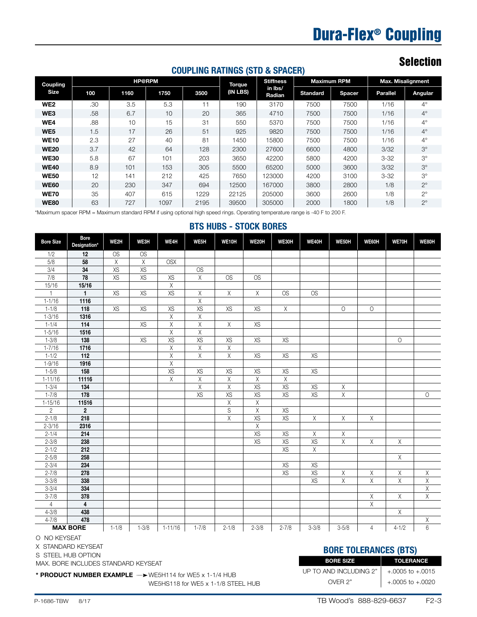# Dura-Flex® Coupling

### Selection

### COUPLING RATINGS (STD & SPACER)

| Coupling        | <b>HP@RPM</b> |      |      |      | <b>Torque</b> | <b>Stiffness</b>  |                 | <b>Maximum RPM</b> |          | <b>Max. Misalignment</b> |  |
|-----------------|---------------|------|------|------|---------------|-------------------|-----------------|--------------------|----------|--------------------------|--|
| <b>Size</b>     | 100           | 1160 | 1750 | 3500 | (IN LBS)      | in Ibs/<br>Radian | <b>Standard</b> | Spacer             | Parallel | Angular                  |  |
| WE <sub>2</sub> | .30           | 3.5  | 5.3  | 11   | 190           | 3170              | 7500            | 7500               | 1/16     | $4^\circ$                |  |
| WE3             | .58           | 6.7  | 10   | 20   | 365           | 4710              | 7500            | 7500               | 1/16     | $4^\circ$                |  |
| WE4             | .88           | 10   | 15   | 31   | 550           | 5370              | 7500            | 7500               | 1/16     | $4^\circ$                |  |
| WE <sub>5</sub> | 1.5           | 17   | 26   | 51   | 925           | 9820              | 7500            | 7500               | 1/16     | $4^\circ$                |  |
| <b>WE10</b>     | 2.3           | 27   | 40   | 81   | 1450          | 15800             | 7500            | 7500               | 1/16     | $4^\circ$                |  |
| <b>WE20</b>     | 3.7           | 42   | 64   | 128  | 2300          | 27600             | 6600            | 4800               | 3/32     | $3^\circ$                |  |
| <b>WE30</b>     | 5.8           | 67   | 101  | 203  | 3650          | 42200             | 5800            | 4200               | $3 - 32$ | $3^\circ$                |  |
| <b>WE40</b>     | 8.9           | 101  | 153  | 305  | 5500          | 65200             | 5000            | 3600               | 3/32     | $3^\circ$                |  |
| <b>WE50</b>     | 12            | 141  | 212  | 425  | 7650          | 123000            | 4200            | 3100               | $3 - 32$ | $3^\circ$                |  |
| <b>WE60</b>     | 20            | 230  | 347  | 694  | 12500         | 167000            | 3800            | 2800               | 1/8      | $2^{\circ}$              |  |
| <b>WE70</b>     | 35            | 407  | 615  | 1229 | 22125         | 205000            | 3600            | 2600               | 1/8      | $2^{\circ}$              |  |
| <b>WE80</b>     | 63            | 727  | 1097 | 2195 | 39500         | 305000            | 2000            | 1800               | 1/8      | $2^{\circ}$              |  |

\*Maximum spacer RPM = Maximum standard RPM if using optional high speed rings. Operating temperature range is -40 F to 200 F.

#### BTS HUBS - STOCK BORES

| <b>Bore Size</b> | <b>Bore</b><br>Designation* | WE2H        | WE3H      | WE4H                    | WE <sub>5</sub> H       | WE10H                   | WE20H                   | WE30H                   | <b>WE40H</b>            | WE50H                   | WE60H                   | WE70H                   | WE80H                   |
|------------------|-----------------------------|-------------|-----------|-------------------------|-------------------------|-------------------------|-------------------------|-------------------------|-------------------------|-------------------------|-------------------------|-------------------------|-------------------------|
| 1/2              | 12                          | OS          | OS        |                         |                         |                         |                         |                         |                         |                         |                         |                         |                         |
| 5/8              | 58                          | $\mathsf X$ | X         | <b>OSX</b>              |                         |                         |                         |                         |                         |                         |                         |                         |                         |
| 3/4              | 34                          | XS          | XS        |                         | <b>OS</b>               |                         |                         |                         |                         |                         |                         |                         |                         |
| $\overline{7/8}$ | 78                          | XS          | XS        | XS                      | $\mathsf X$             | OS                      | OS                      |                         |                         |                         |                         |                         |                         |
| 15/16            | 15/16                       |             |           | $\overline{\chi}$       |                         |                         |                         |                         |                         |                         |                         |                         |                         |
|                  | $\mathbf{1}$                | XS          | <b>XS</b> | XS                      | Χ                       | $\overline{\chi}$       | $\overline{X}$          | <b>OS</b>               | <b>OS</b>               |                         |                         |                         |                         |
| $1 - 1/16$       | 1116                        |             |           |                         | $\overline{X}$          |                         |                         |                         |                         |                         |                         |                         |                         |
| $1 - 1/8$        | $\overline{118}$            | XS          | XS        | XS                      | XS                      | XS                      | XS                      | $\overline{\mathsf{X}}$ |                         | $\circlearrowright$     | $\overline{O}$          |                         |                         |
| $1 - 3/16$       | 1316                        |             |           | $\overline{\mathsf{X}}$ | $\overline{\chi}$       |                         |                         |                         |                         |                         |                         |                         |                         |
| $1 - 1/4$        | 114                         |             | <b>XS</b> | $\overline{\mathsf{X}}$ | $\overline{X}$          | $\overline{X}$          | <b>XS</b>               |                         |                         |                         |                         |                         |                         |
| $1 - 5/16$       | $\overline{1516}$           |             |           | $\overline{\mathsf{x}}$ | $\overline{\mathsf{x}}$ |                         |                         |                         |                         |                         |                         |                         |                         |
| $1 - 3/8$        | $\overline{138}$            |             | XS        | XS                      | XS                      | XS                      | XS                      | XS                      |                         |                         |                         | $\overline{0}$          |                         |
| $1 - 7/16$       | $\frac{1716}{ }$            |             |           | $\overline{\mathsf{X}}$ | $\overline{X}$          | $\overline{X}$          |                         |                         |                         |                         |                         |                         |                         |
| $1 - 1/2$        | 112                         |             |           | $\overline{\mathsf{X}}$ | $\mathsf X$             | $\overline{X}$          | XS                      | XS                      | XS                      |                         |                         |                         |                         |
| $1 - 9/16$       | 1916                        |             |           | $\overline{\mathsf{x}}$ |                         |                         |                         |                         |                         |                         |                         |                         |                         |
| $1 - 5/8$        | 158                         |             |           | XS                      | XS                      | XS                      | XS                      | XS                      | XS                      |                         |                         |                         |                         |
| $1 - 11/16$      | 11116                       |             |           | $\overline{\chi}$       | X                       | $\overline{\chi}$       | $\overline{\chi}$       | $\overline{\mathsf{X}}$ |                         |                         |                         |                         |                         |
| $1 - 3/4$        | 134                         |             |           |                         | $\overline{\chi}$       | $\overline{\chi}$       | XS                      | XS                      | XS                      | $\overline{\chi}$       |                         |                         |                         |
| $1 - 7/8$        | 178                         |             |           |                         | XS                      | $\overline{XS}$         | $\overline{XS}$         | XS                      | XS                      | $\overline{\chi}$       |                         |                         | $\circ$                 |
| $1 - 15/16$      | 11516                       |             |           |                         |                         | $\overline{\mathsf{X}}$ | $\overline{\chi}$       |                         |                         |                         |                         |                         |                         |
| $\overline{2}$   | $\overline{\mathbf{2}}$     |             |           |                         |                         | $\overline{\mathbf{S}}$ | $\overline{\mathsf{X}}$ | XS                      |                         |                         |                         |                         |                         |
| $2 - 1/8$        | 218                         |             |           |                         |                         | $\overline{\mathsf{X}}$ | XS                      | XS                      | $\chi$                  | $\mathsf X$             | $\overline{\chi}$       |                         |                         |
| $2 - 3/16$       | 2316                        |             |           |                         |                         |                         | $\overline{\mathsf{x}}$ |                         |                         |                         |                         |                         |                         |
| $2 - 1/4$        | 214                         |             |           |                         |                         |                         | XS                      | XS                      | $\overline{\chi}$       | Χ                       |                         |                         |                         |
| $2 - 3/8$        | 238                         |             |           |                         |                         |                         | XS                      | XS                      | XS                      | $\overline{\chi}$       | $\overline{\chi}$       | $\overline{\mathsf{X}}$ |                         |
| $2 - 1/2$        | $\overline{212}$            |             |           |                         |                         |                         |                         | XS                      | $\overline{\mathsf{x}}$ |                         |                         |                         |                         |
| $2 - 5/8$        | 258                         |             |           |                         |                         |                         |                         |                         |                         |                         |                         | $\overline{X}$          |                         |
| $2 - 3/4$        | 234                         |             |           |                         |                         |                         |                         | XS                      | XS                      |                         |                         |                         |                         |
| $2 - 7/8$        | 278                         |             |           |                         |                         |                         |                         | XS                      | XS                      | $\overline{\mathsf{X}}$ | $\overline{\mathsf{X}}$ | $\overline{\mathsf{X}}$ | $\overline{\mathsf{X}}$ |
| $3 - 3/8$        | 338                         |             |           |                         |                         |                         |                         |                         | $\overline{XS}$         | $\overline{X}$          | $\overline{\mathsf{x}}$ | $\overline{\mathsf{x}}$ | $\overline{\mathsf{X}}$ |
| $3 - 3/4$        | 334                         |             |           |                         |                         |                         |                         |                         |                         |                         |                         |                         | $\overline{\mathsf{x}}$ |
| $3 - 7/8$        | 378                         |             |           |                         |                         |                         |                         |                         |                         |                         | $\overline{\mathsf{X}}$ | $\overline{X}$          | Χ                       |
| $\overline{4}$   | 4                           |             |           |                         |                         |                         |                         |                         |                         |                         | $\overline{\mathsf{X}}$ |                         |                         |
| $4 - 3/8$        | 438                         |             |           |                         |                         |                         |                         |                         |                         |                         |                         | $\chi$                  |                         |
| $4 - 7/8$        | 478                         |             |           |                         |                         |                         |                         |                         |                         |                         |                         |                         | Χ                       |
|                  | <b>MAX BORE</b>             | $1 - 1/8$   | $1 - 3/8$ | $1 - 11/16$             | $1 - 7/8$               | $2 - 1/8$               | $2 - 3/8$               | $2 - 7/8$               | $3 - 3/8$               | $3 - 5/8$               | 4                       | $4 - 1/2$               | $\overline{6}$          |

#### O NO KEYSEAT

X STANDARD KEYSEAT

S STEEL HUB OPTION

MAX. BORE INCLUDES STANDARD KEYSEAT

\* PRODUCT NUMBER EXAMPLE  $\longrightarrow$  WE5H114 for WE5 x 1-1/4 HUB

WE5HS118 for WE5 x 1-1/8 STEEL HUB

### BORE TOLERANCES (BTS)

| <b>BORE SIZE</b>       | TOLERANCE            |
|------------------------|----------------------|
| UP TO AND INCLUDING 2" | $+.0005$ to $+.0015$ |
| OVER 2"                | $+.0005$ to $+.0020$ |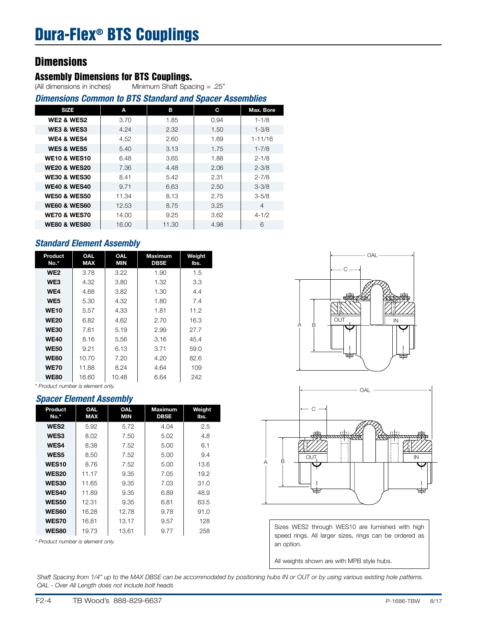### Dura-Flex® BTS Couplings

### **Dimensions**

### **Assembly Dimensions for BTS Couplings.**<br>(All dimensions in inches) Minimum Shaft Spa

Minimum Shaft Spacing = .25"

| <b>Dimensions Common to BTS Standard and Spacer Assemblies</b> |       |       |      |             |  |  |  |  |
|----------------------------------------------------------------|-------|-------|------|-------------|--|--|--|--|
| <b>SIZE</b>                                                    | A     | в     | С    | Max. Bore   |  |  |  |  |
| <b>WE2 &amp; WES2</b>                                          | 3.70  | 1.85  | 0.94 | $1 - 1/8$   |  |  |  |  |
| WE3 & WES3                                                     | 4.24  | 2.32  | 1.50 | $1 - 3/8$   |  |  |  |  |
| WE4 & WES4                                                     | 4.52  | 2.60  | 1.69 | $1 - 11/16$ |  |  |  |  |
| <b>WE5 &amp; WES5</b>                                          | 5.40  | 3.13  | 1.75 | $1 - 7/8$   |  |  |  |  |
| <b>WE10 &amp; WES10</b>                                        | 6.48  | 3.65  | 1.88 | $2 - 1/8$   |  |  |  |  |
| <b>WE20 &amp; WES20</b>                                        | 7.36  | 4.48  | 2.06 | $2 - 3/8$   |  |  |  |  |
| <b>WE30 &amp; WES30</b>                                        | 8.41  | 5.42  | 2.31 | $2 - 7/8$   |  |  |  |  |
| <b>WE40 &amp; WES40</b>                                        | 9.71  | 6.63  | 2.50 | $3 - 3/8$   |  |  |  |  |
| <b>WE50 &amp; WES50</b>                                        | 11.34 | 8.13  | 2.75 | $3 - 5/8$   |  |  |  |  |
| <b>WE60 &amp; WES60</b>                                        | 12.53 | 8.75  | 3.25 | 4           |  |  |  |  |
| <b>WE70 &amp; WES70</b>                                        | 14.00 | 9.25  | 3.62 | $4 - 1/2$   |  |  |  |  |
| <b>WE80 &amp; WES80</b>                                        | 16.00 | 11.30 | 4.98 | 6           |  |  |  |  |

### *Standard Element Assembly*

| Product<br>No.* | <b>OAL</b><br><b>MAX</b> | <b>OAL</b><br>MIN | <b>Maximum</b><br>DBSE | Weight<br>lbs. |
|-----------------|--------------------------|-------------------|------------------------|----------------|
| WE <sub>2</sub> | 3.78                     | 3.22              | 1.90                   | 1.5            |
| WE3             | 4.32                     | 3.80              | 1.32                   | 3.3            |
| WE4             | 4.68                     | 3.82              | 1.30                   | 4.4            |
| WE <sub>5</sub> | 5.30                     | 4.32              | 1.80                   | 7.4            |
| <b>WE10</b>     | 5.57                     | 4.33              | 1.81                   | 11.2           |
| <b>WE20</b>     | 6.82                     | 4.62              | 2.70                   | 16.3           |
| <b>WE30</b>     | 7.61                     | 5.19              | 2.99                   | 27.7           |
| <b>WE40</b>     | 8.16                     | 5.56              | 3.16                   | 45.4           |
| <b>WE50</b>     | 9.21                     | 6.13              | 3.71                   | 59.0           |
| <b>WE60</b>     | 10.70                    | 7.20              | 4.20                   | 82.6           |
| <b>WE70</b>     | 11.88                    | 8.24              | 4.64                   | 109            |
| <b>WE80</b>     | 16.60                    | 10.48             | 6.64                   | 242            |

*\* Product number is element only.*

#### *Spacer Element Assembly*

|                 |                          | -                        |                               |                |
|-----------------|--------------------------|--------------------------|-------------------------------|----------------|
| Product<br>No.* | <b>OAL</b><br><b>MAX</b> | <b>OAL</b><br><b>MIN</b> | <b>Maximum</b><br><b>DBSE</b> | Weight<br>lbs. |
| WES2            | 5.92                     | 5.72                     | 4.04                          | 2.5            |
| WES3            | 8.02                     | 7.50                     | 5.02                          | 4.8            |
| WES4            | 8.38                     | 7.52                     | 5.00                          | 6.1            |
| WES5            | 8.50                     | 7.52                     | 5.00                          | 9.4            |
| <b>WES10</b>    | 8.76                     | 7.52                     | 5.00                          | 13.6           |
| <b>WES20</b>    | 11.17                    | 9.35                     | 7.05                          | 19.2           |
| <b>WES30</b>    | 11.65                    | 9.35                     | 7.03                          | 31.0           |
| <b>WES40</b>    | 11.89                    | 9.35                     | 6.89                          | 48.9           |
| <b>WES50</b>    | 12.31                    | 9.35                     | 6.81                          | 63.5           |
| <b>WES60</b>    | 16.28                    | 12.78                    | 9.78                          | 91.0           |
| <b>WES70</b>    | 16.81                    | 13.17                    | 9.57                          | 128            |
| <b>WES80</b>    | 19.73                    | 13.61                    | 9.77                          | 258            |

*\* Product number is element only.*





Sizes WES2 through WES10 are furnished with high speed rings. All larger sizes, rings can be ordered as an option.

All weights shown are with MPB style hubs.

*Shaft Spacing from 1/4" up to the MAX DBSE can be accommodated by positioning hubs IN or OUT or by using various existing hole patterns. OAL - Over All Length does not include bolt heads*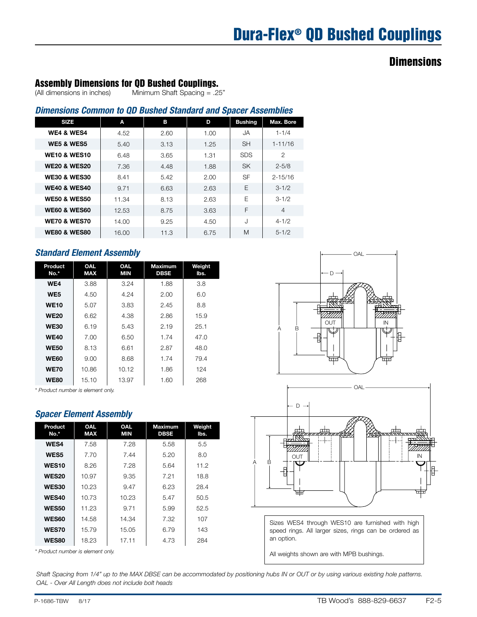### Assembly Dimensions for QD Bushed Couplings.

(All dimensions in inches) Minimum Shaft Spacing = .25"

### *Dimensions Common to QD Bushed Standard and Spacer Assemblies*

| <b>SIZE</b>             | A     | в    | D    | <b>Bushing</b> | Max. Bore      |
|-------------------------|-------|------|------|----------------|----------------|
| WE4 & WES4              | 4.52  | 2.60 | 1.00 | JA.            | $1 - 1/4$      |
| <b>WE5 &amp; WES5</b>   | 5.40  | 3.13 | 1.25 | <b>SH</b>      | $1 - 11/16$    |
| <b>WE10 &amp; WES10</b> | 6.48  | 3.65 | 1.31 | <b>SDS</b>     | $\overline{2}$ |
| <b>WE20 &amp; WES20</b> | 7.36  | 4.48 | 1.88 | <b>SK</b>      | $2 - 5/8$      |
| <b>WE30 &amp; WES30</b> | 8.41  | 5.42 | 2.00 | <b>SF</b>      | $2 - 15/16$    |
| <b>WE40 &amp; WES40</b> | 9.71  | 6.63 | 2.63 | F              | $3 - 1/2$      |
| <b>WE50 &amp; WES50</b> | 11.34 | 8.13 | 2.63 | F              | $3 - 1/2$      |
| <b>WE60 &amp; WES60</b> | 12.53 | 8.75 | 3.63 | F              | $\overline{4}$ |
| <b>WE70 &amp; WES70</b> | 14.00 | 9.25 | 4.50 | J              | $4 - 1/2$      |
| <b>WE80 &amp; WES80</b> | 16.00 | 11.3 | 6.75 | M              | $5 - 1/2$      |

### *Standard Element Assembly*

| Product<br>No.* | <b>OAL</b><br><b>MAX</b> | <b>OAL</b><br><b>MIN</b> | Maximum<br><b>DBSE</b> | Weight<br>lbs. |
|-----------------|--------------------------|--------------------------|------------------------|----------------|
| WE4             | 3.88                     | 3.24                     | 1.88                   | 3.8            |
| WE5             | 4.50                     | 4.24                     | 2.00                   | 6.0            |
| <b>WE10</b>     | 5.07                     | 3.83                     | 2.45                   | 8.8            |
| <b>WE20</b>     | 6.62                     | 4.38                     | 2.86                   | 15.9           |
| <b>WE30</b>     | 6.19                     | 5.43                     | 2.19                   | 25.1           |
| <b>WE40</b>     | 7.00                     | 6.50                     | 1.74                   | 47.O           |
| <b>WE50</b>     | 8.13                     | 6.61                     | 2.87                   | 48.0           |
| <b>WE60</b>     | 9.00                     | 8.68                     | 1.74                   | 79.4           |
| <b>WE70</b>     | 10.86                    | 10.12                    | 1.86                   | 124            |
| <b>WE80</b>     | 15.10                    | 13.97                    | 1.60                   | 268            |

*\* Product number is element only.*

#### *Spacer Element Assembly*

| <b>OAL</b><br><b>MAX</b> | <b>OAL</b><br><b>MIN</b> | <b>Maximum</b><br>DBSE | Weight<br>lbs. |
|--------------------------|--------------------------|------------------------|----------------|
| 7.58                     | 7.28                     | 5.58                   | 5.5            |
| 7.70                     | 7.44                     | 5.20                   | 8.0            |
| 8.26                     | 7.28                     | 5.64                   | 11.2           |
| 10.97                    | 9.35                     | 7.21                   | 18.8           |
| 10.23                    | 9.47                     | 6.23                   | 28.4           |
| 10.73                    | 10.23                    | 5.47                   | 50.5           |
| 11.23                    | 9.71                     | 5.99                   | 52.5           |
| 14.58                    | 14.34                    | 7.32                   | 107            |
| 15.79                    | 15.05                    | 6.79                   | 143            |
| 18.23                    | 17.11                    | 4.73                   | 284            |
|                          |                          |                        |                |

*\* Product number is element only.*





Sizes WES4 through WES10 are furnished with high speed rings. All larger sizes, rings can be ordered as an option.

All weights shown are with MPB bushings.

*Shaft Spacing from 1/4" up to the MAX DBSE can be accommodated by positioning hubs IN or OUT or by using various existing hole patterns. OAL - Over All Length does not include bolt heads*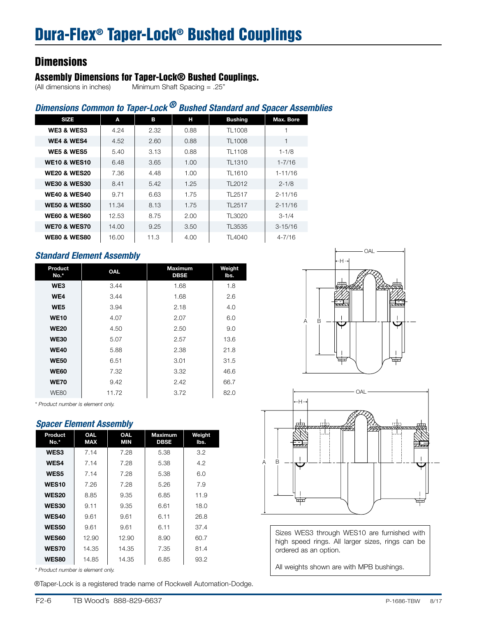## **Assembly Dimensions for Taper-Lock® Bushed Couplings.**<br>(All dimensions in inches) Minimum Shaft Spacing = .25"

 $N$ inimum Shaft Spacing = .25"

### *Dimensions Common to Taper-Lock ® Bushed Standard and Spacer Assemblies*

| <b>SIZE</b>             | A     | в    | н    | <b>Bushing</b>     | Max. Bore   |
|-------------------------|-------|------|------|--------------------|-------------|
| WE3 & WES3              | 4.24  | 2.32 | 0.88 | TL1008             |             |
| <b>WE4 &amp; WES4</b>   | 4.52  | 2.60 | 0.88 | TL1008             | 1           |
| <b>WE5 &amp; WES5</b>   | 5.40  | 3.13 | 0.88 | TL1108             | $1 - 1/8$   |
| <b>WE10 &amp; WES10</b> | 6.48  | 3.65 | 1.00 | TL <sub>1310</sub> | $1 - 7/16$  |
| <b>WE20 &amp; WES20</b> | 7.36  | 4.48 | 1.00 | TL1610             | $1 - 11/16$ |
| <b>WE30 &amp; WES30</b> | 8.41  | 5.42 | 1.25 | TL2012             | $2 - 1/8$   |
| <b>WE40 &amp; WES40</b> | 9.71  | 6.63 | 1.75 | TL2517             | $2 - 11/16$ |
| <b>WE50 &amp; WES50</b> | 11.34 | 8.13 | 1.75 | TL2517             | $2 - 11/16$ |
| <b>WE60 &amp; WES60</b> | 12.53 | 8.75 | 2.00 | TL3020             | $3 - 1/4$   |
| <b>WE70 &amp; WES70</b> | 14.00 | 9.25 | 3.50 | TL3535             | $3 - 15/16$ |
| <b>WE80 &amp; WES80</b> | 16.00 | 11.3 | 4.00 | TL4040             | $4 - 7/16$  |

### *Standard Element Assembly*

| Product<br>No.* | OAL   | <b>Maximum</b><br><b>DBSE</b> | Weight<br>lbs. |
|-----------------|-------|-------------------------------|----------------|
| WE3             | 3.44  | 1.68                          | 1.8            |
| WE4             | 3.44  | 1.68                          | 2.6            |
| WE <sub>5</sub> | 3.94  | 2.18                          | 4.0            |
| <b>WE10</b>     | 4.07  | 2.07                          | 6.0            |
| <b>WE20</b>     | 4.50  | 2.50                          | 9.0            |
| <b>WE30</b>     | 5.07  | 2.57                          | 13.6           |
| <b>WE40</b>     | 5.88  | 2.38                          | 21.8           |
| <b>WE50</b>     | 6.51  | 3.01                          | 31.5           |
| <b>WE60</b>     | 7.32  | 3.32                          | 46.6           |
| <b>WE70</b>     | 9.42  | 2.42                          | 66.7           |
| <b>WE80</b>     | 11.72 | 3.72                          | 82.0           |





Sizes WES3 through WES10 are furnished with high speed rings. All larger sizes, rings can be ordered as an option.

All weights shown are with MPB bushings.

*\* Product number is element only.*

#### *Spacer Element Assembly*

| Product<br>No.* | <b>OAL</b><br><b>MAX</b> | <b>OAL</b><br><b>MIN</b> | <b>Maximum</b><br><b>DBSE</b> | Weight<br>lbs. |  |  |
|-----------------|--------------------------|--------------------------|-------------------------------|----------------|--|--|
| <b>WES3</b>     | 7.14                     | 7.28                     | 5.38                          | 3.2            |  |  |
| <b>WES4</b>     | 7.14                     | 7.28                     | 5.38                          | 4.2            |  |  |
| <b>WES5</b>     | 7.14                     | 7.28                     | 5.38                          | 6.0            |  |  |
| <b>WES10</b>    | 7.26                     | 7.28                     | 5.26                          | 7.9            |  |  |
| <b>WES20</b>    | 8.85                     | 9.35                     | 6.85                          | 11.9           |  |  |
| <b>WES30</b>    | 9.11                     | 9.35                     | 6.61                          | 18.0           |  |  |
| <b>WES40</b>    | 9.61                     | 9.61                     | 6.11                          | 26.8           |  |  |
| <b>WES50</b>    | 9.61                     | 9.61                     | 6.11                          | 37.4           |  |  |
| <b>WES60</b>    | 12.90                    | 12.90                    | 8.90                          | 60.7           |  |  |
| <b>WES70</b>    | 14.35                    | 14.35                    | 7.35                          | 81.4           |  |  |
| <b>WES80</b>    | 14.85                    | 14.35                    | 6.85                          | 93.2           |  |  |
| $  -$           | .                        |                          |                               |                |  |  |

*\* Product number is element only.*

®Taper-Lock is a registered trade name of Rockwell Automation-Dodge.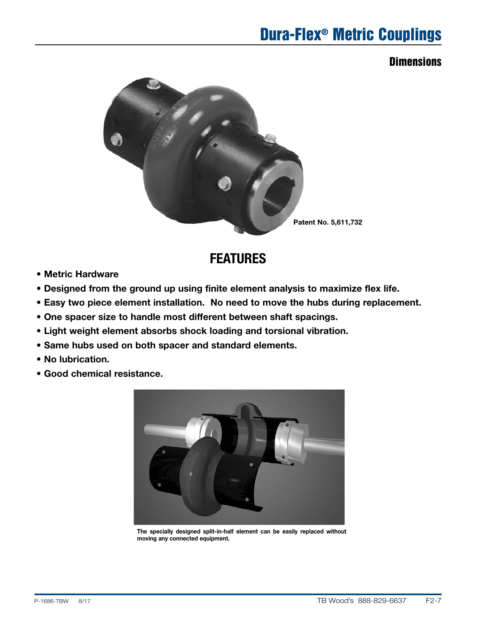# Dura-Flex® Metric Couplings

### **Dimensions**



### **FEATURES**

- Metric Hardware
- Designed from the ground up using finite element analysis to maximize flex life.
- Easy two piece element installation. No need to move the hubs during replacement.
- One spacer size to handle most different between shaft spacings.
- Light weight element absorbs shock loading and torsional vibration.
- Same hubs used on both spacer and standard elements.
- No lubrication.
- Good chemical resistance.



The specially designed split-in-half element can be easily replaced without moving any connected equipment.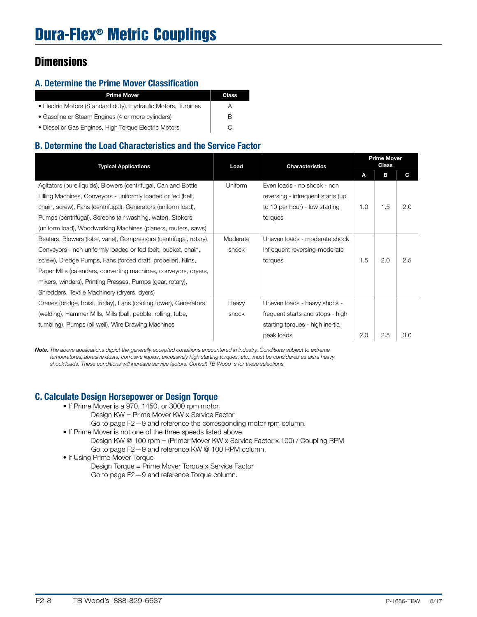### A. Determine the Prime Mover Classification

| <b>Prime Mover</b>                                            | Class |
|---------------------------------------------------------------|-------|
| • Electric Motors (Standard duty), Hydraulic Motors, Turbines | A     |
| • Gasoline or Steam Engines (4 or more cylinders)             |       |
| • Diesel or Gas Engines, High Torque Electric Motors          |       |

### B. Determine the Load Characteristics and the Service Factor

| <b>Typical Applications</b>                                       | Load     | <b>Characteristics</b>            | <b>Prime Mover</b><br>Class |     |     |
|-------------------------------------------------------------------|----------|-----------------------------------|-----------------------------|-----|-----|
|                                                                   |          |                                   | A                           | в   | C   |
| Agitators (pure liquids), Blowers (centrifugal, Can and Bottle    | Uniform  | Even loads - no shock - non       |                             |     |     |
| Filling Machines, Conveyors - uniformly loaded or fed (belt,      |          | reversing - infrequent starts (up |                             |     |     |
| chain, screw), Fans (centrifugal), Generators (uniform load),     |          | to 10 per hour) - low starting    | 1.0                         | 1.5 | 2.0 |
| Pumps (centrifugal), Screens (air washing, water), Stokers        |          | torques                           |                             |     |     |
| (uniform load), Woodworking Machines (planers, routers, saws)     |          |                                   |                             |     |     |
| Beaters, Blowers (lobe, vane), Compressors (centrifugal, rotary), | Moderate | Uneven loads - moderate shock     |                             |     |     |
| Conveyors - non uniformly loaded or fed (belt, bucket, chain,     | shock    | Infrequent reversing-moderate     |                             |     |     |
| screw), Dredge Pumps, Fans (forced draft, propeller), Kilns,      |          | torques                           | 1.5                         | 2.0 | 2.5 |
| Paper Mills (calendars, converting machines, conveyors, dryers,   |          |                                   |                             |     |     |
| mixers, winders), Printing Presses, Pumps (gear, rotary),         |          |                                   |                             |     |     |
| Shredders, Textile Machinery (dryers, dyers)                      |          |                                   |                             |     |     |
| Cranes (bridge, hoist, trolley), Fans (cooling tower), Generators | Heavy    | Uneven loads - heavy shock -      |                             |     |     |
| (welding), Hammer Mills, Mills (ball, pebble, rolling, tube,      | shock    | frequent starts and stops - high  |                             |     |     |
| tumbling), Pumps (oil well), Wire Drawing Machines                |          | starting torques - high inertia   |                             |     |     |
|                                                                   |          | peak loads                        | 2.0                         | 2.5 | 3.0 |

*Note: The above applications depict the generally accepted conditions encountered in industry. Conditions subject to extreme temperatures, abrasive dusts, corrosive liquids, excessively high starting torques, etc., must be considered as extra heavy shock loads. These conditions will increase service factors. Consult TB Wood' s for these selections.*

### C. Calculate Design Horsepower or Design Torque

- If Prime Mover is a 970, 1450, or 3000 rpm motor. Design KW = Prime Mover KW x Service Factor
- Go to page F2—9 and reference the corresponding motor rpm column. • If Prime Mover is not one of the three speeds listed above.
	- Design KW @ 100 rpm = (Primer Mover KW x Service Factor x 100) / Coupling RPM Go to page F2—9 and reference KW @ 100 RPM column.
- If Using Prime Mover Torque
	- Design Torque = Prime Mover Torque x Service Factor Go to page F2—9 and reference Torque column.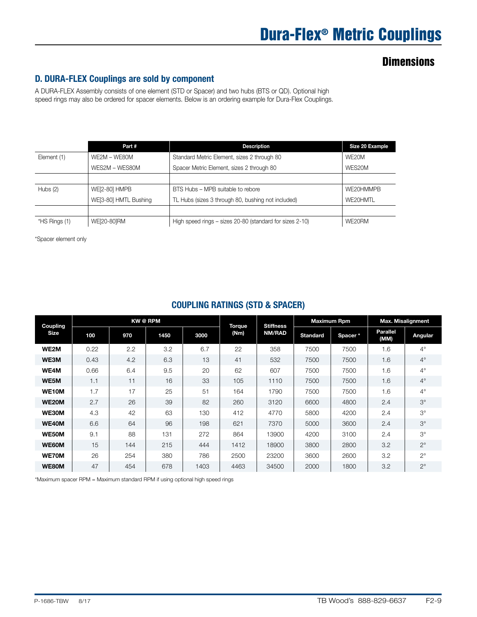### D. DURA-FLEX Couplings are sold by component

A DURA-FLEX Assembly consists of one element (STD or Spacer) and two hubs (BTS or QD). Optional high speed rings may also be ordered for spacer elements. Below is an ordering example for Dura-Flex Couplings.

|               | Part #                | <b>Description</b>                                       | Size 20 Example |
|---------------|-----------------------|----------------------------------------------------------|-----------------|
| Element (1)   | WE2M - WE80M          | Standard Metric Element, sizes 2 through 80              | WE20M           |
|               | WES2M - WES80M        | Spacer Metric Element, sizes 2 through 80                | WES20M          |
|               |                       |                                                          |                 |
| Hubs $(2)$    | <b>WE[2-80] HMPB</b>  | BTS Hubs - MPB suitable to rebore                        | WE20HMMPB       |
|               | WE[3-80] HMTL Bushing | TL Hubs (sizes 3 through 80, bushing not included)       | WE20HMTL        |
|               |                       |                                                          |                 |
| *HS Rings (1) | WE[20-80]RM           | High speed rings – sizes 20-80 (standard for sizes 2-10) | WE20RM          |

\*Spacer element only

|  | <b>COUPLING RATINGS (STD &amp; SPACER)</b> |
|--|--------------------------------------------|
|  |                                            |

| Coupling    | <b>KW @ RPM</b> |     | <b>Torque</b> | <b>Stiffness</b> |      | <b>Maximum Rpm</b> |                 | <b>Max. Misalignment</b> |                         |             |
|-------------|-----------------|-----|---------------|------------------|------|--------------------|-----------------|--------------------------|-------------------------|-------------|
| <b>Size</b> | 100             | 970 | 1450          | 3000             | (Nm) | <b>NM/RAD</b>      | <b>Standard</b> | Spacer*                  | <b>Parallel</b><br>(MM) | Angular     |
| WE2M        | 0.22            | 2.2 | 3.2           | 6.7              | 22   | 358                | 7500            | 7500                     | 1.6                     | $4^\circ$   |
| WE3M        | 0.43            | 4.2 | 6.3           | 13               | 41   | 532                | 7500            | 7500                     | 1.6                     | $4^\circ$   |
| WE4M        | 0.66            | 6.4 | 9.5           | 20               | 62   | 607                | 7500            | 7500                     | 1.6                     | $4^\circ$   |
| WE5M        | 1.1             | 11  | 16            | 33               | 105  | 1110               | 7500            | 7500                     | 1.6                     | $4^\circ$   |
| WE10M       | 1.7             | 17  | 25            | 51               | 164  | 1790               | 7500            | 7500                     | 1.6                     | $4^\circ$   |
| WE20M       | 2.7             | 26  | 39            | 82               | 260  | 3120               | 6600            | 4800                     | 2.4                     | $3^\circ$   |
| WE30M       | 4.3             | 42  | 63            | 130              | 412  | 4770               | 5800            | 4200                     | 2.4                     | $3^\circ$   |
| WE40M       | 6.6             | 64  | 96            | 198              | 621  | 7370               | 5000            | 3600                     | 2.4                     | $3^\circ$   |
| WE50M       | 9.1             | 88  | 131           | 272              | 864  | 13900              | 4200            | 3100                     | 2.4                     | $3^\circ$   |
| WE60M       | 15              | 144 | 215           | 444              | 1412 | 18900              | 3800            | 2800                     | 3.2                     | $2^{\circ}$ |
| WE70M       | 26              | 254 | 380           | 786              | 2500 | 23200              | 3600            | 2600                     | 3.2                     | $2^{\circ}$ |
| WE80M       | 47              | 454 | 678           | 1403             | 4463 | 34500              | 2000            | 1800                     | 3.2                     | $2^{\circ}$ |

\*Maximum spacer RPM = Maximum standard RPM if using optional high speed rings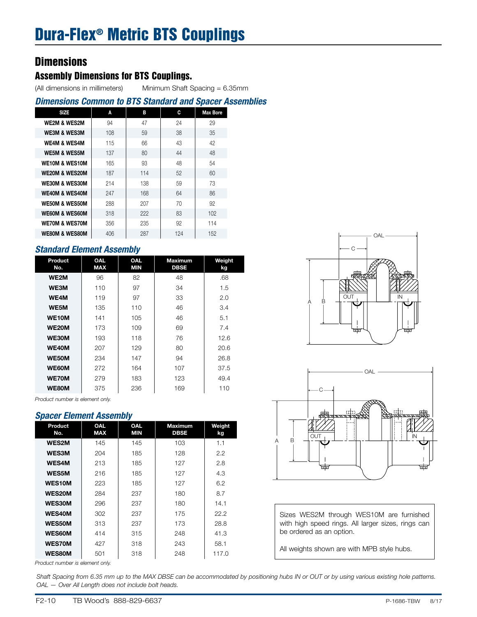### Assembly Dimensions for BTS Couplings.

(All dimensions in millimeters) Minimum Shaft Spacing = 6.35mm

### *Dimensions Common to BTS Standard and Spacer Assemblies*

| <b>SIZE</b>               | A   | В   | C   | <b>Max Bore</b> |  |
|---------------------------|-----|-----|-----|-----------------|--|
| <b>WE2M &amp; WES2M</b>   | 94  | 47  | 24  | 29              |  |
| <b>WE3M &amp; WES3M</b>   | 108 | 59  | 38  | 35              |  |
| <b>WE4M &amp; WES4M</b>   | 115 | 66  | 43  | 42              |  |
| <b>WE5M &amp; WES5M</b>   | 137 | 80  | 44  | 48              |  |
| <b>WE10M &amp; WES10M</b> | 165 | 93  | 48  | 54              |  |
| <b>WE20M &amp; WES20M</b> | 187 | 114 | 52  | 60              |  |
| <b>WE30M &amp; WES30M</b> | 214 | 138 | 59  | 73              |  |
| <b>WE40M &amp; WES40M</b> | 247 | 168 | 64  | 86              |  |
| <b>WE50M &amp; WES50M</b> | 288 | 207 | 70  | 92              |  |
| <b>WE60M &amp; WES60M</b> | 318 | 222 | 83  | 102             |  |
| <b>WE70M &amp; WES70M</b> | 356 | 235 | 92  | 114             |  |
| <b>WE80M &amp; WES80M</b> | 406 | 287 | 124 | 152             |  |

### *Standard Element Assembly*

| Product<br>No. | <b>OAL</b><br><b>MAX</b> | <b>OAL</b><br><b>MIN</b> | <b>Maximum</b><br><b>DBSE</b> | Weight<br>kg |
|----------------|--------------------------|--------------------------|-------------------------------|--------------|
| WE2M           | 96                       | 82                       | 48                            | .68          |
| WE3M           | 110                      | 97                       | 34                            | 1.5          |
| WE4M           | 119                      | 97                       | 33                            | 2.0          |
| WE5M           | 135                      | 110                      | 46                            | 3.4          |
| <b>WE10M</b>   | 141                      | 105                      | 46                            | 5.1          |
| <b>WE20M</b>   | 173                      | 109                      | 69                            | 7.4          |
| WE30M          | 193                      | 118                      | 76                            | 12.6         |
| <b>WE40M</b>   | 207                      | 129                      | 80                            | 20.6         |
| WE50M          | 234                      | 147                      | 94                            | 26.8         |
| WE60M          | 272                      | 164                      | 107                           | 37.5         |
| <b>WE70M</b>   | 279                      | 183                      | 123                           | 49.4         |
| WE80M          | 375                      | 236                      | 169                           | 110          |

*Product number is element only.*

#### *Spacer Element Assembly*

| <b>OAL</b><br>Weight<br><b>OAL</b><br>Product<br><b>Maximum</b><br><b>MAX</b><br>MIN<br><b>DBSE</b><br>No.<br>kg<br><b>WES2M</b><br>1.1<br>145<br>145<br>103<br><b>WES3M</b><br>204<br>128<br>2.2<br>185<br><b>WES4M</b><br>213<br>127<br>185<br>2.8<br><b>WES5M</b><br>216<br>127<br>4.3<br>185<br><b>WES10M</b><br>6.2<br>223<br>127<br>185<br>WES20M<br>284<br>237<br>180<br>8.7<br><b>WES30M</b><br>296<br>237<br>180<br>14.1<br><b>WES40M</b><br>22.2<br>302<br>237<br>175<br><b>WES50M</b><br>313<br>237<br>173<br>28.8<br><b>WES60M</b><br>315<br>414<br>248<br>41.3<br><b>WES70M</b><br>427<br>243<br>58.1<br>318<br><b>WES80M</b><br>501<br>248<br>117.0<br>318 |  |  |  |
|--------------------------------------------------------------------------------------------------------------------------------------------------------------------------------------------------------------------------------------------------------------------------------------------------------------------------------------------------------------------------------------------------------------------------------------------------------------------------------------------------------------------------------------------------------------------------------------------------------------------------------------------------------------------------|--|--|--|
|                                                                                                                                                                                                                                                                                                                                                                                                                                                                                                                                                                                                                                                                          |  |  |  |
|                                                                                                                                                                                                                                                                                                                                                                                                                                                                                                                                                                                                                                                                          |  |  |  |
|                                                                                                                                                                                                                                                                                                                                                                                                                                                                                                                                                                                                                                                                          |  |  |  |
|                                                                                                                                                                                                                                                                                                                                                                                                                                                                                                                                                                                                                                                                          |  |  |  |
|                                                                                                                                                                                                                                                                                                                                                                                                                                                                                                                                                                                                                                                                          |  |  |  |
|                                                                                                                                                                                                                                                                                                                                                                                                                                                                                                                                                                                                                                                                          |  |  |  |
|                                                                                                                                                                                                                                                                                                                                                                                                                                                                                                                                                                                                                                                                          |  |  |  |
|                                                                                                                                                                                                                                                                                                                                                                                                                                                                                                                                                                                                                                                                          |  |  |  |
|                                                                                                                                                                                                                                                                                                                                                                                                                                                                                                                                                                                                                                                                          |  |  |  |
|                                                                                                                                                                                                                                                                                                                                                                                                                                                                                                                                                                                                                                                                          |  |  |  |
|                                                                                                                                                                                                                                                                                                                                                                                                                                                                                                                                                                                                                                                                          |  |  |  |
|                                                                                                                                                                                                                                                                                                                                                                                                                                                                                                                                                                                                                                                                          |  |  |  |
|                                                                                                                                                                                                                                                                                                                                                                                                                                                                                                                                                                                                                                                                          |  |  |  |

*Product number is element only.*





Sizes WES2M through WES10M are furnished with high speed rings. All larger sizes, rings can be ordered as an option.

All weights shown are with MPB style hubs.

*Shaft Spacing from 6.35 mm up to the MAX DBSE can be accommodated by positioning hubs IN or OUT or by using various existing hole patterns. OAL — Over All Length does not include bolt heads.*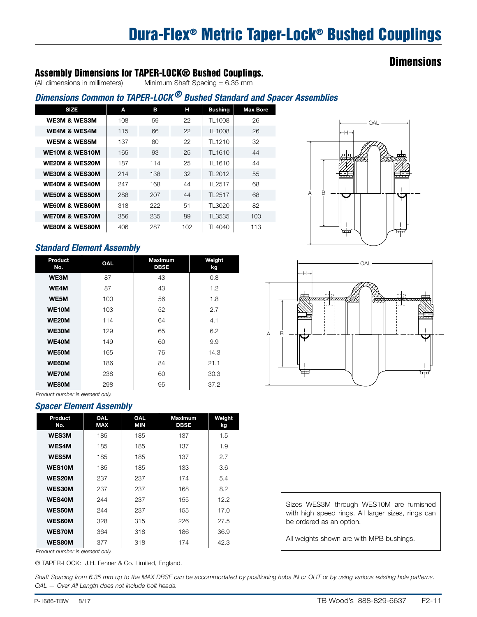# Dura-Flex® Metric Taper-Lock® Bushed Couplings

### **Dimensions**

### Assembly Dimensions for TAPER-LOCK® Bushed Couplings.

(All dimensions in millimeters) Minimum Shaft Spacing = 6.35 mm

### *Dimensions Common to TAPER-LOCK ® Bushed Standard and Spacer Assemblies*

| A   | в   | н   | <b>Bushing</b> | <b>Max Bore</b> |
|-----|-----|-----|----------------|-----------------|
| 108 | 59  | 22  | TL1008         | 26              |
| 115 | 66  | 22  | TL1008         | 26              |
| 137 | 80  | 22  | TL1210         | 32              |
| 165 | 93  | 25  | TL1610         | 44              |
| 187 | 114 | 25  | TL1610         | 44              |
| 214 | 138 | 32  | TL2012         | 55              |
| 247 | 168 | 44  | TL2517         | 68              |
| 288 | 207 | 44  | TL2517         | 68              |
| 318 | 222 | 51  | TL3020         | 82              |
| 356 | 235 | 89  | TL3535         | 100             |
| 406 | 287 | 102 | TL4040         | 113             |
|     |     |     |                |                 |

### *Standard Element Assembly*

| Product<br>No. | <b>OAL</b> | <b>Maximum</b><br><b>DBSE</b> | Weight<br>kg |
|----------------|------------|-------------------------------|--------------|
| WE3M           | 87         | 43                            | 0.8          |
| WE4M           | 87         | 43                            | 1.2          |
| WE5M           | 100        | 56                            | 1.8          |
| WE10M          | 103        | 52                            | 2.7          |
| <b>WE20M</b>   | 114        | 64                            | 4.1          |
| WE30M          | 129        | 65                            | 6.2          |
| WE40M          | 149        | 60                            | 9.9          |
| WE50M          | 165        | 76                            | 14.3         |
| WE60M          | 186        | 84                            | 21.1         |
| WE70M          | 238        | 60                            | 30.3         |
| WE80M          | 298        | 95                            | 37.2         |





*Product number is element only.*

#### *Spacer Element Assembly*

| Product<br>No. | <b>OAL</b><br><b>MAX</b> | <b>OAL</b><br><b>MIN</b> | <b>Maximum</b><br><b>DBSE</b> | Weight<br>kg |
|----------------|--------------------------|--------------------------|-------------------------------|--------------|
| <b>WES3M</b>   | 185                      | 185                      | 137                           | 1.5          |
| <b>WES4M</b>   | 185                      | 185                      | 137                           | 1.9          |
| <b>WES5M</b>   | 185                      | 185                      | 137                           | 2.7          |
| <b>WES10M</b>  | 185                      | 185                      | 133                           | 3.6          |
| <b>WES20M</b>  | 237                      | 237                      | 174                           | 5.4          |
| <b>WES30M</b>  | 237                      | 237                      | 168                           | 8.2          |
| <b>WES40M</b>  | 244                      | 237                      | 155                           | 12.2         |
| <b>WES50M</b>  | 244                      | 237                      | 155                           | 17.0         |
| <b>WES60M</b>  | 328                      | 315                      | 226                           | 27.5         |
| <b>WES70M</b>  | 364                      | 318                      | 186                           | 36.9         |
| <b>WES80M</b>  | 377                      | 318                      | 174                           | 42.3         |

Sizes WES3M through WES10M are furnished with high speed rings. All larger sizes, rings can be ordered as an option.

All weights shown are with MPB bushings.

*Product number is element only.*

® TAPER-LOCK: J.H. Fenner & Co. Limited, England.

*Shaft Spacing from 6.35 mm up to the MAX DBSE can be accommodated by positioning hubs IN or OUT or by using various existing hole patterns. OAL — Over All Length does not include bolt heads.*